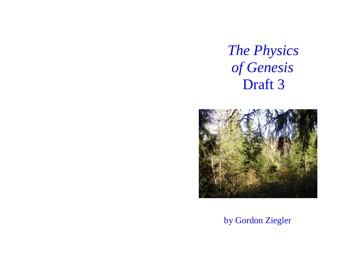# *The Physics of Genesis* Draft 3



by Gordon Ziegler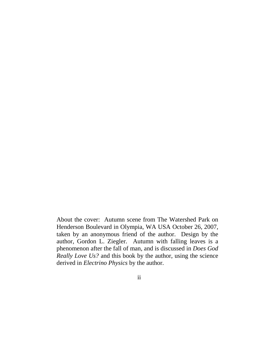About the cover: Autumn scene from The Watershed Park on Henderson Boulevard in Olympia, WA USA October 26, 2007, taken by an anonymous friend of the author. Design by the author, Gordon L. Ziegler. Autumn with falling leaves is a phenomenon after the fall of man, and is discussed in *Does God Really Love Us?* and this book by the author, using the science derived in *Electrino Physics* by the author.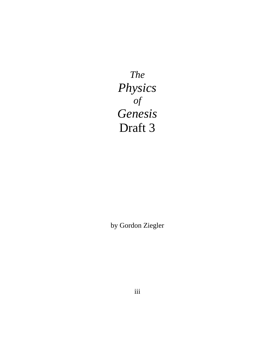*The Physics of Genesis* Draft 3

by Gordon Ziegler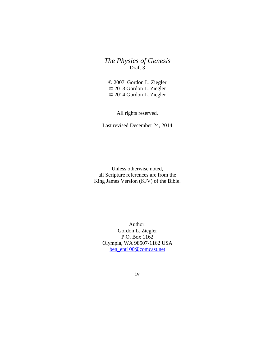# *The Physics of Genesis* Draft 3

© 2007 Gordon L. Ziegler © 2013 Gordon L. Ziegler © 2014 Gordon L. Ziegler

All rights reserved.

Last revised December 24, 2014

Unless otherwise noted, all Scripture references are from the King James Version (KJV) of the Bible.

Author: Gordon L. Ziegler P.O. Box 1162 Olympia, WA 98507-1162 USA [ben\\_ent100@comcast.net](mailto:ben_ent100@comcast.net)

iv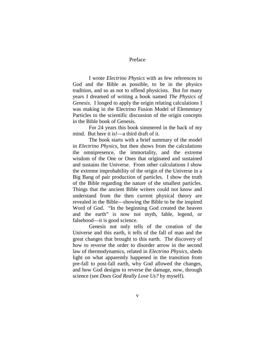#### Preface

I wrote *Electrino Physics* with as few references to God and the Bible as possible, to be in the physics tradition, and so as not to offend physicists. But for many years I dreamed of writing a book named *The Physics of Genesis*. I longed to apply the origin relating calculations I was making in the Electrino Fusion Model of Elementary Particles to the scientific discussion of the origin concepts in the Bible book of Genesis.

For 24 years this book simmered in the back of my mind. But here it is!—a third draft of it.

The book starts with a brief summary of the model in *Electrino Physics*, but then shows from the calculations the omnipresence, the immortality, and the extreme wisdom of the One or Ones that originated and sustained and sustains the Universe. From other calculations I show the extreme improbability of the origin of the Universe in a Big Bang of pair production of particles. I show the truth of the Bible regarding the nature of the smallest particles. Things that the ancient Bible writers could not know and understand from the then current physical theory are revealed in the Bible—showing the Bible to be the inspired Word of God. "In the beginning God created the heaven and the earth" is now not myth, fable, legend, or falsehood—it is good science.

Genesis not only tells of the creation of the Universe and this earth, it tells of the fall of man and the great changes that brought to this earth. The discovery of how to reverse the order to disorder arrow in the second law of thermodynamics, related in *Electrino Physics*, sheds light on what apparently happened in the transition from pre-fall to post-fall earth, why God allowed the changes, and how God designs to reverse the damage, now, through science (see *Does God Really Love Us?* by myself).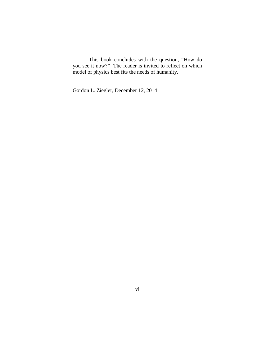This book concludes with the question, "How do you see it now?" The reader is invited to reflect on which model of physics best fits the needs of humanity.

Gordon L. Ziegler, December 12, 2014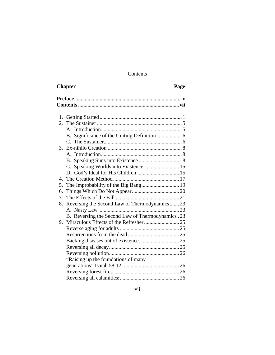# Contents

| <b>Chapter</b>                                       | Page |
|------------------------------------------------------|------|
|                                                      |      |
|                                                      |      |
| 2.                                                   |      |
|                                                      |      |
|                                                      |      |
|                                                      |      |
|                                                      |      |
|                                                      |      |
|                                                      |      |
| Speaking Worlds into Existence  15<br>C.             |      |
|                                                      |      |
|                                                      |      |
| The Improbability of the Big Bang 19<br>5.           |      |
| б.<br>7.                                             |      |
| Reversing the Second Law of Thermodynamics  23<br>8. |      |
|                                                      |      |
| B. Reversing the Second Law of Thermodynamics .23    |      |
| 9.                                                   |      |
|                                                      |      |
|                                                      |      |
|                                                      |      |
|                                                      |      |
|                                                      |      |
| "Raising up the foundations of many                  |      |
|                                                      |      |
|                                                      |      |
|                                                      |      |
|                                                      |      |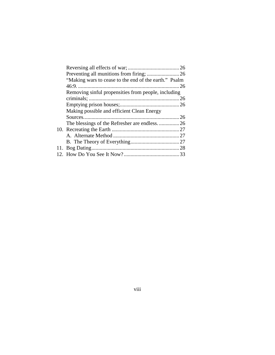| "Making wars to cease to the end of the earth." Psalm |  |  |
|-------------------------------------------------------|--|--|
|                                                       |  |  |
| Removing sinful propensities from people, including   |  |  |
|                                                       |  |  |
|                                                       |  |  |
| Making possible and efficient Clean Energy            |  |  |
|                                                       |  |  |
| The blessings of the Refresher are endless26          |  |  |
|                                                       |  |  |
|                                                       |  |  |
|                                                       |  |  |
|                                                       |  |  |
|                                                       |  |  |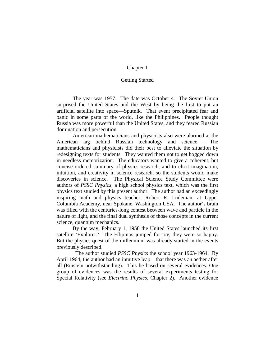# Getting Started

The year was 1957. The date was October 4. The Soviet Union surprised the United States and the West by being the first to put an artificial satellite into space—Sputnik. That event precipitated fear and panic in some parts of the world, like the Philippines. People thought Russia was more powerful than the United States, and they feared Russian domination and persecution.

American mathematicians and physicists also were alarmed at the American lag behind Russian technology and science. The mathematicians and physicists did their best to alleviate the situation by redesigning texts for students. They wanted them not to get bogged down in needless memorization. The educators wanted to give a coherent, but concise ordered summary of physics research, and to elicit imagination, intuition, and creativity in science research, so the students would make discoveries in science. The Physical Science Study Committee were authors of *PSSC Physics*, a high school physics text, which was the first physics text studied by this present author. The author had an exceedingly inspiring math and physics teacher, Robert R. Ludeman, at Upper Columbia Academy, near Spokane, Washington USA. The author's brain was filled with the centuries-long contest between wave and particle in the nature of light, and the final dual synthesis of those concepts in the current science, quantum mechanics.

By the way, February 1, 1958 the United States launched its first satellite 'Explorer.' The Filipinos jumped for joy, they were so happy. But the physics quest of the millennium was already started in the events previously described.

 The author studied *PSSC Physics* the school year 1963-1964. By April 1964, the author had an intuitive leap—that there was an aether after all (Einstein notwithstanding). This he based on several evidences. One group of evidences was the results of several experiments testing for Special Relativity (see *Electrino Physics*, Chapter 2). Another evidence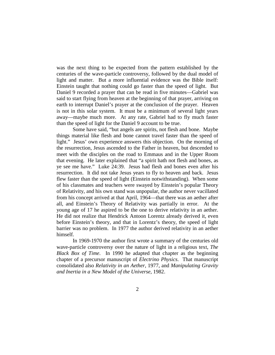was the next thing to be expected from the pattern established by the centuries of the wave-particle controversy, followed by the dual model of light and matter. But a more influential evidence was the Bible itself: Einstein taught that nothing could go faster than the speed of light. But Daniel 9 recorded a prayer that can be read in five minutes—Gabriel was said to start flying from heaven at the beginning of that prayer, arriving on earth to interrupt Daniel's prayer at the conclusion of the prayer. Heaven is not in this solar system. It must be a minimum of several light years away—maybe much more. At any rate, Gabriel had to fly much faster than the speed of light for the Daniel 9 account to be true.

Some have said, "but angels are spirits, not flesh and bone. Maybe things material like flesh and bone cannot travel faster than the speed of light." Jesus' own experience answers this objection. On the morning of the resurrection, Jesus ascended to the Father in heaven, but descended to meet with the disciples on the road to Emmaus and in the Upper Room that evening. He later explained that "a spirit hath not flesh and bones, as ye see me have." Luke 24:39. Jesus had flesh and bones even after his resurrection. It did not take Jesus years to fly to heaven and back. Jesus flew faster than the speed of light (Einstein notwithstanding). When some of his classmates and teachers were swayed by Einstein's popular Theory of Relativity, and his own stand was unpopular, the author never vacillated from his concept arrived at that April, 1964—that there was an aether after all, and Einstein's Theory of Relativity was partially in error. At the young age of 17 he aspired to be the one to derive relativity in an aether. He did not realize that Hendrick Antoon Lorentz already derived it, even before Einstein's theory, and that in Lorentz's theory, the speed of light barrier was no problem. In 1977 the author derived relativity in an aether himself.

In 1969-1970 the author first wrote a summary of the centuries old wave-particle controversy over the nature of light in a religious text, *The Black Box of Time*. In 1990 he adapted that chapter as the beginning chapter of a precursor manuscript of *Electrino Physics*. That manuscript consolidated also *Relativity in an Aether*, 1977, and *Manipulating Gravity and Inertia in a New Model of the Universe*, 1982.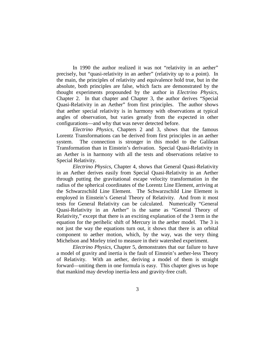In 1990 the author realized it was not "relativity in an aether" precisely, but "quasi-relativity in an aether" (relativity up to a point). In the main, the principles of relativity and equivalence hold true, but in the absolute, both principles are false, which facts are demonstrated by the thought experiments propounded by the author in *Electrino Physics*, Chapter 2. In that chapter and Chapter 3, the author derives "Special Quasi-Relativity in an Aether" from first principles. The author shows that aether special relativity is in harmony with observations at typical angles of observation, but varies greatly from the expected in other configurations—and why that was never detected before.

*Electrino Physics*, Chapters 2 and 3, shows that the famous Lorentz Transformations can be derived from first principles in an aether system. The connection is stronger in this model to the Galilean Transformation than in Einstein's derivation. Special Quasi-Relativity in an Aether is in harmony with all the tests and observations relative to Special Relativity.

*Electrino Physics*, Chapter 4, shows that General Quasi-Relativity in an Aether derives easily from Special Quasi-Relativity in an Aether through putting the gravitational escape velocity transformation in the radius of the spherical coordinates of the Lorentz Line Element, arriving at the Schwarzschild Line Element. The Schwarzschild Line Element is employed in Einstein's General Theory of Relativity. And from it most tests for General Relativity can be calculated. Numerically "General Quasi-Relativity in an Aether" is the same as "General Theory of Relativity," except that there is an exciting explanation of the 3 term in the equation for the perihelic shift of Mercury in the aether model. The 3 is not just the way the equations turn out, it shows that there is an orbital component to aether motion, which, by the way, was the very thing Michelson and Morley tried to measure in their watershed experiment.

*Electrino Physics,* Chapter 5, demonstrates that our failure to have a model of gravity and inertia is the fault of Einstein's aether-less Theory of Relativity. With an aether, deriving a model of them is straight forward—uniting them in one formula is easy. This chapter gives us hope that mankind may develop inertia-less and gravity-free craft.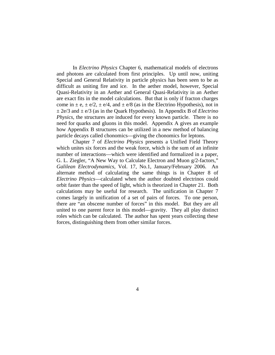In *Electrino Physics* Chapter 6, mathematical models of electrons and photons are calculated from first principles. Up until now, uniting Special and General Relativity in particle physics has been seen to be as difficult as uniting fire and ice. In the aether model, however, Special Quasi-Relativity in an Aether and General Quasi-Relativity in an Aether are exact fits in the model calculations. But that is only if fracton charges come in  $\pm$  e,  $\pm$  e/2,  $\pm$  e/4, and  $\pm$  e/8 (as in the Electrino Hypothesis), not in  $\pm$  2e/3 and  $\pm$  e/3 (as in the Quark Hypothesis). In Appendix B of *Electrino Physics*, the structures are induced for every known particle. There is no need for quarks and gluons in this model. Appendix A gives an example how Appendix B structures can be utilized in a new method of balancing particle decays called chonomics—giving the chonomics for leptons.

Chapter 7 of *Electrino Physics* presents a Unified Field Theory which unites six forces and the weak force, which is the sum of an infinite number of interactions—which were identified and formalized in a paper, G. L. Ziegler, "A New Way to Calculate Electron and Muon g/2-factors," *Galilean Electrodynamics*, Vol. 17, No.1, January/February 2006. An alternate method of calculating the same things is in Chapter 8 of *Electrino Physics*—calculated when the author doubted electrinos could orbit faster than the speed of light, which is theorized in Chapter 21. Both calculations may be useful for research. The unification in Chapter 7 comes largely in unification of a set of pairs of forces. To one person, there are "an obscene number of forces" in this model. But they are all united to one parent force in this model—gravity. They all play distinct roles which can be calculated. The author has spent years collecting these forces, distinguishing them from other similar forces.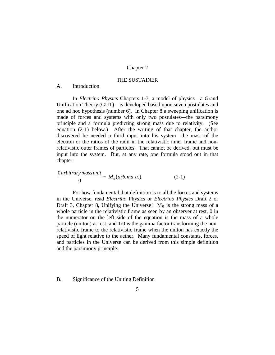# THE SUSTAINER

# A. Introduction

In *Electrino Physics* Chapters 1-7, a model of physics—a Grand Unification Theory (GUT)—is developed based upon seven postulates and one ad hoc hypothesis (number 6). In Chapter 8 a sweeping unification is made of forces and systems with only two postulates—the parsimony principle and a formula predicting strong mass due to relativity. (See equation (2-1) below.) After the writing of that chapter, the author discovered he needed a third input into his system—the mass of the electron or the ratios of the radii in the relativistic inner frame and nonrelativistic outer frames of particles. That cannot be derived, but must be input into the system. But, at any rate, one formula stood out in that chapter:

$$
\frac{0 \text{arbitrary mass unit}}{0} \equiv M_0(\text{arb}.ma.u.). \tag{2-1}
$$

For how fundamental that definition is to all the forces and systems in the Universe, read *Electrino* Physics or *Electrino Physics* Draft 2 or Draft 3, Chapter 8, Unifying the Universe!  $M_0$  is the strong mass of a whole particle in the relativistic frame as seen by an observer at rest, 0 in the numerator on the left side of the equation is the mass of a whole particle (uniton) at rest, and 1/0 is the gamma factor transforming the nonrelativistic frame to the relativistic frame when the uniton has exactly the speed of light relative to the aether. Many fundamental constants, forces, and particles in the Universe can be derived from this simple definition and the parsimony principle.

# B. Significance of the Uniting Definition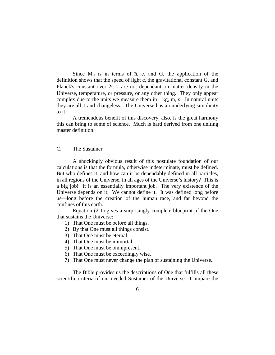Since  $M_0$  is in terms of  $\hbar$ , c, and G, the application of the definition shows that the speed of light c, the gravitational constant G, and Planck's constant over  $2\pi \hbar$  are not dependant on matter density in the Universe, temperature, or pressure, or any other thing. They only appear complex due to the units we measure them in—kg, m, s. In natural units they are all 1 and changeless. The Universe has an underlying simplicity to it.

A tremendous benefit of this discovery, also, is the great harmony this can bring to some of science. Much is hard derived from one uniting master definition.

# C. The Sustainer

A shockingly obvious result of this postulate foundation of our calculations is that the formula, otherwise indeterminate, must be defined. But who defines it, and how can it be dependably defined in all particles, in all regions of the Universe, in all ages of the Universe's history? This is a big job! It is an essentially important job. The very existence of the Universe depends on it. We cannot define it. It was defined long before us—long before the creation of the human race, and far beyond the confines of this earth.

Equation (2-1) gives a surprisingly complete blueprint of the One that sustains the Universe:

- 1) That One must be before all things.
- 2) By that One must all things consist.
- 3) That One must be eternal.
- 4) That One must be immortal.
- 5) That One must be omnipresent.
- 6) That One must be exceedingly wise.
- 7) That One must never change the plan of sustaining the Universe.

The Bible provides us the descriptions of One that fulfills all these scientific criteria of our needed Sustainer of the Universe. Compare the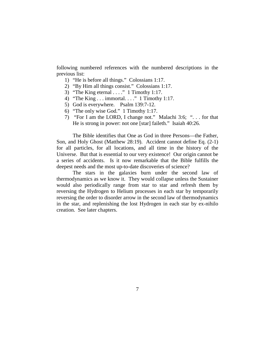following numbered references with the numbered descriptions in the previous list:

- 1) "He is before all things." Colossians 1:17.
- 2) "By Him all things consist." Colossians 1:17.
- 3) "The King eternal  $\ldots$ ." 1 Timothy 1:17.
- 4) "The King . . . immortal. . . ." 1 Timothy 1:17.
- 5) God is everywhere. Psalm 139:7-12.
- 6) "The only wise God." 1 Timothy 1:17.
- 7) "For I am the LORD, I change not." Malachi 3:6; ". . . for that He is strong in power: not one [star] faileth." Isaiah 40:26.

The Bible identifies that One as God in three Persons—the Father, Son, and Holy Ghost (Matthew 28:19). Accident cannot define Eq. (2-1) for all particles, for all locations, and all time in the history of the Universe. But that is essential to our very existence! Our origin cannot be a series of accidents. Is it now remarkable that the Bible fulfills the deepest needs and the most up-to-date discoveries of science?

The stars in the galaxies burn under the second law of thermodynamics as we know it. They would collapse unless the Sustainer would also periodically range from star to star and refresh them by reversing the Hydrogen to Helium processes in each star by temporarily reversing the order to disorder arrow in the second law of thermodynamics in the star, and replenishing the lost Hydrogen in each star by ex-nihilo creation. See later chapters.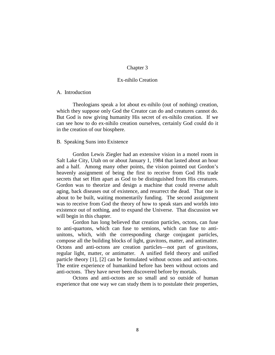# Ex-nihilo Creation

# A. Introduction

Theologians speak a lot about ex-nihilo (out of nothing) creation, which they suppose only God the Creator can do and creatures cannot do. But God is now giving humanity His secret of ex-nihilo creation. If we can see how to do ex-nihilo creation ourselves, certainly God could do it in the creation of our biosphere.

#### B. Speaking Suns into Existence

Gordon Lewis Ziegler had an extensive vision in a motel room in Salt Lake City, Utah on or about January 1, 1984 that lasted about an hour and a half. Among many other points, the vision pointed out Gordon's heavenly assignment of being the first to receive from God His trade secrets that set Him apart as God to be distinguished from His creatures. Gordon was to theorize and design a machine that could reverse adult aging, back diseases out of existence, and resurrect the dead. That one is about to be built, waiting momentarily funding. The second assignment was to receive from God the theory of how to speak stars and worlds into existence out of nothing, and to expand the Universe. That discussion we will begin in this chapter.

Gordon has long believed that creation particles, octons, can fuse to anti-quartons, which can fuse to semions, which can fuse to antiunitons, which, with the corresponding charge conjugant particles, compose all the building blocks of light, gravitons, matter, and antimatter. Octons and anti-octons are creation particles—not part of gravitons, regular light, matter, or antimatter. A unified field theory and unified particle theory [1], [2] can be formulated without octons and anti-octons. The entire experience of humankind before has been without octons and anti-octons. They have never been discovered before by mortals.

Octons and anti-octons are so small and so outside of human experience that one way we can study them is to postulate their properties,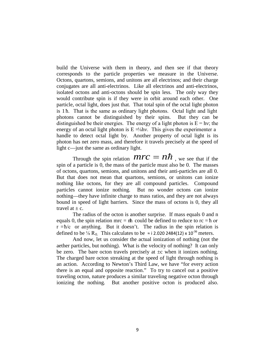build the Universe with them in theory, and then see if that theory corresponds to the particle properties we measure in the Universe. Octons, quartons, semions, and unitons are all electrinos; and their charge conjugates are all anti-electrinos. Like all electrinos and anti-electrinos, isolated octons and anti-octons should be spin less. The only way they would contribute spin is if they were in orbit around each other. One particle, octal light, does just that. That total spin of the octal light photon is 1 ħ. That is the same as ordinary light photons. Octal light and light photons cannot be distinguished by their spins. But they can be distinguished be their energies. The energy of a light photon is  $E = hv$ ; the energy of an octal light photon is  $E = \frac{1}{\delta} h v$ . This gives the experimenter a handle to detect octal light by. Another property of octal light is its photon has net zero mass, and therefore it travels precisely at the speed of light c—just the same as ordinary light.

Through the spin relation  $\mathcal{M} \mathcal{V} \mathcal{C} = \mathcal{N} \hbar$ , we see that if the spin of a particle is 0, the mass of the particle must also be 0. The masses of octons, quartons, semions, and unitons and their anti-particles are all 0. But that does not mean that quartons, semions, or unitons can ionize nothing like octons, for they are all compound particles. Compound particles cannot ionize nothing. But no wonder octons can ionize nothing—they have infinite charge to mass ratios, and they are not always bound in speed of light barriers. Since the mass of octons is 0, they all travel at  $+ c$ .

The radius of the octon is another surprise. If mass equals 0 and n equals 0, the spin relation mrc =  $nh$  could be defined to reduce to  $rc = h$  or  $r = \hbar/c$  or anything. But it doesn't. The radius in the spin relation is defined to be  $\frac{1}{8}$  R<sub>0.</sub> This calculates to be  $\approx$  i 2.020 2484(12) x 10<sup>-36</sup> meters.

And now, let us consider the actual ionization of nothing (not the aether particles, but nothing). What is the velocity of nothing? It can only be zero. The bare octon travels precisely at  $\pm c$  when it ionizes nothing. The charged bare octon streaking at the speed of light through nothing is an action. According to Newton's Third Law, we have "for every action there is an equal and opposite reaction." To try to cancel out a positive traveling octon, nature produces a similar traveling negative octon through ionizing the nothing. But another positive octon is produced also.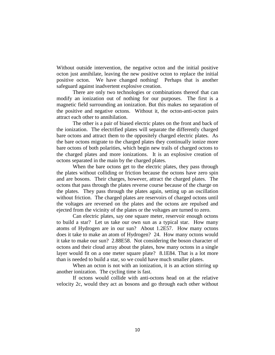Without outside intervention, the negative octon and the initial positive octon just annihilate, leaving the new positive octon to replace the initial positive octon. We have changed nothing! Perhaps that is another safeguard against inadvertent explosive creation.

There are only two technologies or combinations thereof that can modify an ionization out of nothing for our purposes. The first is a magnetic field surrounding an ionization. But this makes no separation of the positive and negative octons. Without it, the octon-anti-octon pairs attract each other to annihilation.

The other is a pair of biased electric plates on the front and back of the ionization. The electrified plates will separate the differently charged bare octons and attract them to the oppositely charged electric plates. As the bare octons migrate to the charged plates they continually ionize more bare octons of both polarities, which begin new trails of charged octons to the charged plates and more ionizations. It is an explosive creation of octons separated in the main by the charged plates.

When the bare octons get to the electric plates, they pass through the plates without colliding or friction because the octons have zero spin and are bosons. Their charges, however, attract the charged plates. The octons that pass through the plates reverse course because of the charge on the plates. They pass through the plates again, setting up an oscillation without friction. The charged plates are reservoirs of charged octons until the voltages are reversed on the plates and the octons are repulsed and ejected from the vicinity of the plates or the voltages are turned to zero.

Can electric plates, say one square meter, reservoir enough octons to build a star? Let us take our own sun as a typical star. How many atoms of Hydrogen are in our sun? About 1.2E57. How many octons does it take to make an atom of Hydrogen? 24. How many octons would it take to make our sun? 2.88E58. Not considering the boson character of octons and their cloud array about the plates, how many octons in a single layer would fit on a one meter square plate? 8.1E84. That is a lot more than is needed to build a star, so we could have much smaller plates.

When an octon is not with an ionization, it is an action stirring up another ionization. The cycling time is fast.

If octons would collide with anti-octons head on at the relative velocity 2c, would they act as bosons and go through each other without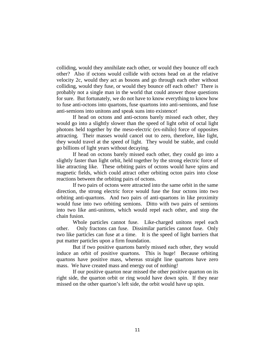colliding, would they annihilate each other, or would they bounce off each other? Also if octons would collide with octons head on at the relative velocity 2c, would they act as bosons and go through each other without colliding, would they fuse, or would they bounce off each other? There is probably not a single man in the world that could answer those questions for sure. But fortunately, we do not have to know everything to know how to fuse anti-octons into quartons, fuse quartons into anti-semions, and fuse anti-semions into unitons and speak suns into existence!

If head on octons and anti-octons barely missed each other, they would go into a slightly slower than the speed of light orbit of octal light photons held together by the meso-electric (ex-nihilo) force of opposites attracting. Their masses would cancel out to zero, therefore, like light, they would travel at the speed of light. They would be stable, and could go billions of light years without decaying.

If head on octons barely missed each other, they could go into a slightly faster than light orbit, held together by the strong electric force of like attracting like. These orbiting pairs of octons would have spins and magnetic fields, which could attract other orbiting octon pairs into close reactions between the orbiting pairs of octons.

If two pairs of octons were attracted into the same orbit in the same direction, the strong electric force would fuse the four octons into two orbiting anti-quartons. And two pairs of anti-quartons in like proximity would fuse into two orbiting semions. Ditto with two pairs of semions into two like anti-unitons, which would repel each other, and stop the chain fusion.

Whole particles cannot fuse. Like-charged unitons repel each other. Only fractons can fuse. Dissimilar particles cannot fuse. Only two like particles can fuse at a time. It is the speed of light barriers that put matter particles upon a firm foundation.

But if two positive quartons barely missed each other, they would induce an orbit of positive quartons. This is huge! Because orbiting quartons have positive mass, whereas straight line quartons have zero mass. We have created mass and energy out of nothing!

If our positive quarton near missed the other positive quarton on its right side, the quarton orbit or ring would have down spin. If they near missed on the other quarton's left side, the orbit would have up spin.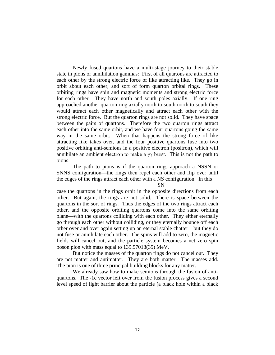Newly fused quartons have a multi-stage journey to their stable state in pions or annihilation gammas: First of all quartons are attracted to each other by the strong electric force of like attracting like. They go in orbit about each other, and sort of form quarton orbital rings. These orbiting rings have spin and magnetic moments and strong electric force for each other. They have north and south poles axially. If one ring approached another quarton ring axially north to south north to south they would attract each other magnetically and attract each other with the strong electric force. But the quarton rings are not solid. They have space between the pairs of quartons. Therefore the two quarton rings attract each other into the same orbit, and we have four quartons going the same way in the same orbit. When that happens the strong force of like attracting like takes over, and the four positive quartons fuse into two positive orbiting anti-semions in a positive electron (positron), which will annihilate an ambient electron to make a  $\gamma\gamma$  burst. This is not the path to pions.

The path to pions is if the quarton rings approach a NSSN or SNNS configuration—the rings then repel each other and flip over until the edges of the rings attract each other with a NS configuration. In this

SN

case the quartons in the rings orbit in the opposite directions from each other. But again, the rings are not solid. There is space between the quartons in the sort of rings. Thus the edges of the two rings attract each other, and the opposite orbiting quartons come into the same orbiting plane—with the quartons colliding with each other. They either eternally go through each other without colliding, or they eternally bounce off each other over and over again setting up an eternal stable chatter—but they do not fuse or annihilate each other. The spins will add to zero, the magnetic fields will cancel out, and the particle system becomes a net zero spin boson pion with mass equal to 139.57018(35) MeV.

But notice the masses of the quarton rings do not cancel out. They are not matter and antimatter. They are both matter. The masses add. The pion is one of three principal building blocks for any matter.

We already saw how to make semions through the fusion of antiquartons. The -1c vector left over from the fusion process gives a second level speed of light barrier about the particle (a black hole within a black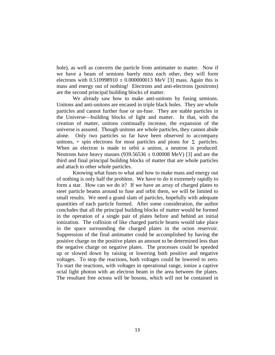hole), as well as converts the particle from antimatter to matter. Now if we have a beam of semions barely miss each other, they will form electrons with  $0.510998910 \pm 0.000000013$  MeV [3] mass. Again this is mass and energy out of nothing! Electrons and anti-electrons (positrons) are the second principal building blocks of matter.

We already saw how to make anti-unitons by fusing semions. Unitons and anti-unitons are encased in triple black holes. They are whole particles and cannot further fuse or un-fuse. They are stable particles in the Universe—building blocks of light and matter. In that, with the creation of matter, unitons continually increase, the expansion of the universe is assured. Though unitons are whole particles, they cannot abide alone. Only two particles so far have been observed to accompany unitons, + spin electrons for most particles and pions for  $\Sigma$  particles. When an electron is made to orbit a uniton, a neutron is produced. Neutrons have heavy masses (939.56536  $\pm$  0.00008 MeV) [3] and are the third and final principal building blocks of matter that are whole particles and attach to other whole particles.

Knowing what fuses to what and how to make mass and energy out of nothing is only half the problem. We have to do it extremely rapidly to form a star. How can we do it? If we have an array of charged plates to steer particle beams around to fuse and orbit them, we will be limited to small results. We need a grand slam of particles, hopefully with adequate quantities of each particle formed. After some consideration, the author concludes that all the principal building blocks of matter would be formed in the operation of a single pair of plates before and behind an initial ionization. The collision of like charged particle beams would take place in the space surrounding the charged plates in the octon reservoir. Suppression of the final antimatter could be accomplished by having the positive charge on the positive plates an amount to be determined less than the negative charge on negative plates. The processes could be speeded up or slowed down by raising or lowering both positive and negative voltages. To stop the reactions, both voltages could be lowered to zero. To start the reactions, with voltages in operational range, ionize a captive octal light photon with an electron beam in the area between the plates. The resultant free octons will be bosons, which will not be contained in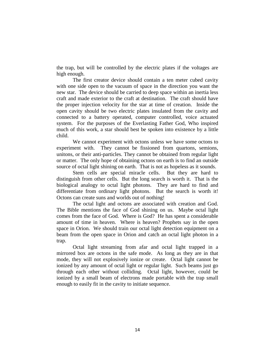the trap, but will be controlled by the electric plates if the voltages are high enough.

The first creator device should contain a ten meter cubed cavity with one side open to the vacuum of space in the direction you want the new star. The device should be carried to deep space within an inertia less craft and made exterior to the craft at destination. The craft should have the proper injection velocity for the star at time of creation. Inside the open cavity should be two electric plates insulated from the cavity and connected to a battery operated, computer controlled, voice actuated system. For the purposes of the Everlasting Father God, Who inspired much of this work, a star should best be spoken into existence by a little child.

We cannot experiment with octons unless we have some octons to experiment with. They cannot be fissioned from quartons, semions, unitons, or their anti-particles. They cannot be obtained from regular light or matter. The only hope of obtaining octons on earth is to find an outside source of octal light shining on earth. That is not as hopeless as it sounds.

Stem cells are special miracle cells. But they are hard to distinguish from other cells. But the long search is worth it. That is the biological analogy to octal light photons. They are hard to find and differentiate from ordinary light photons. But the search is worth it! Octons can create suns and worlds out of nothing!

The octal light and octons are associated with creation and God. The Bible mentions the face of God shining on us. Maybe octal light comes from the face of God. Where is God? He has spent a considerable amount of time in heaven. Where is heaven? Prophets say in the open space in Orion. We should train our octal light detection equipment on a beam from the open space in Orion and catch an octal light photon in a trap.

Octal light streaming from afar and octal light trapped in a mirrored box are octons in the safe mode. As long as they are in that mode, they will not explosively ionize or create. Octal light cannot be ionized by any amount of octal light or regular light. Such beams just go through each other without colliding. Octal light, however, could be ionized by a small beam of electrons made portable with the trap small enough to easily fit in the cavity to initiate sequence.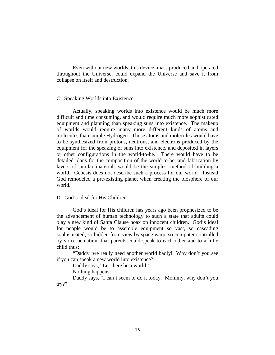Even without new worlds, this device, mass produced and operated throughout the Universe, could expand the Universe and save it from collapse on itself and destruction.

# C. Speaking Worlds into Existence

Actually, speaking worlds into existence would be much more difficult and time consuming, and would require much more sophisticated equipment and planning than speaking suns into existence. The makeup of worlds would require many more different kinds of atoms and molecules than simple Hydrogen. Those atoms and molecules would have to be synthesized from protons, neutrons, and electrons produced by the equipment for the speaking of suns into existence, and deposited in layers or other configurations in the world-to-be. There would have to be detailed plans for the composition of the world-to-be, and fabrication by layers of similar materials would be the simplest method of building a world. Genesis does not describe such a process for our world. Instead God remodeled a pre-existing planet when creating the biosphere of our world.

# D. God's Ideal for His Children

God's ideal for His children has years ago been prophesized to be the advancement of human technology to such a state that adults could play a new kind of Santa Clause hoax on innocent children. God's ideal for people would be to assemble equipment so vast, so cascading sophisticated, so hidden from view by space warp, so computer controlled by voice actuation, that parents could speak to each other and to a little child thus:

"Daddy, we really need another world badly! Why don't you see if you can speak a new world into existence?"

Daddy says, "Let there be a world!"

Nothing happens.

Daddy says, "I can't seem to do it today. Mommy, why don't you try?"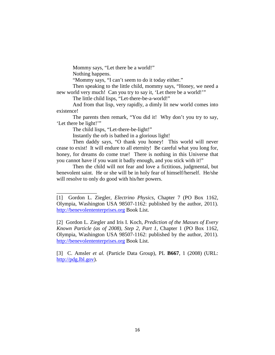Mommy says, "Let there be a world!"

Nothing happens.

\_\_\_\_\_\_\_\_\_\_\_\_\_\_\_

"Mommy says, "I can't seem to do it today either."

Then speaking to the little child, mommy says, "Honey, we need a new world very much! Can you try to say it, 'Let there be a world!'"

The little child lisps, "Let-there-be-a-world!"

And from that lisp, very rapidly, a dimly lit new world comes into existence!

The parents then remark, "You did it! Why don't you try to say, 'Let there be light!'"

The child lisps, "Let-there-be-light!"

Instantly the orb is bathed in a glorious light!

Then daddy says, "O thank you honey! This world will never cease to exist! It will endure to all eternity! Be careful what you long for, honey, for dreams do come true! There is nothing in this Universe that you cannot have if you want it badly enough, and you stick with it!"

Then the child will not fear and love a fictitious, judgmental, but benevolent saint. He or she will be in holy fear of himself/herself. He/she will resolve to only do good with his/her powers.

[2] Gordon L. Ziegler and Iris I. Koch, *Prediction of the Masses of Every Known Particle (as of 2008), Step 2, Part 1*, Chapter 1 (PO Box 1162, Olympia, Washington USA 98507-1162: published by the author, 2011). [http://benevolententerprises.org](http://benevolententerprises.org/) Book List.

[3] C. Amsler *et al.* (Particle Data Group), PL **B667**, 1 (2008) (URL: [http://pdg.lbl.gov\)](http://pdg.lbl.gov/).

<sup>[1]</sup> Gordon L. Ziegler, *Electrino Physics*, Chapter 7 (PO Box 1162, Olympia, Washington USA 98507-1162: published by the author, 2011). [http://benevolententerprises.org](http://benevolententerprises.org/) Book List.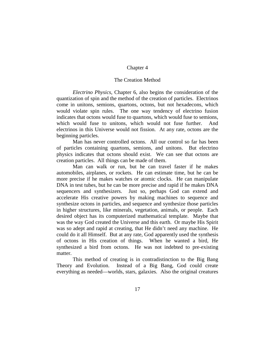# The Creation Method

*Electrino Physics*, Chapter 6, also begins the consideration of the quantization of spin and the method of the creation of particles. Electrinos come in unitons, semions, quartons, octons, but not hexadecons, which would violate spin rules. The one way tendency of electrino fusion indicates that octons would fuse to quartons, which would fuse to semions, which would fuse to unitons, which would not fuse further. And electrinos in this Universe would not fission. At any rate, octons are the beginning particles.

Man has never controlled octons. All our control so far has been of particles containing quartons, semions, and unitons. But electrino physics indicates that octons should exist. We can see that octons are creation particles. All things can be made of them.

Man can walk or run, but he can travel faster if he makes automobiles, airplanes, or rockets. He can estimate time, but he can be more precise if he makes watches or atomic clocks. He can manipulate DNA in test tubes, but he can be more precise and rapid if he makes DNA sequencers and synthesizers. Just so, perhaps God can extend and accelerate His creative powers by making machines to sequence and synthesize octons in particles, and sequence and synthesize those particles in higher structures, like minerals, vegetation, animals, or people. Each desired object has its computerized mathematical template. Maybe that was the way God created the Universe and this earth. Or maybe His Spirit was so adept and rapid at creating, that He didn't need any machine. He could do it all Himself. But at any rate, God apparently used the synthesis of octons in His creation of things. When he wanted a bird, He synthesized a bird from octons. He was not indebted to pre-existing matter.

This method of creating is in contradistinction to the Big Bang Theory and Evolution. Instead of a Big Bang, God could create everything as needed—worlds, stars, galaxies. Also the original creatures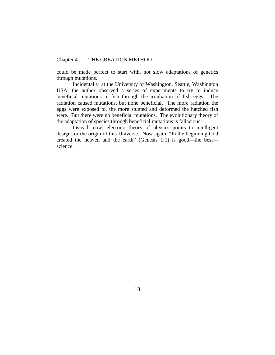# Chapter 4 THE CREATION METHOD

could be made perfect to start with, not slow adaptations of genetics through mutations.

Incidentally, at the University of Washington, Seattle, Washington USA, the author observed a series of experiments to try to induce beneficial mutations in fish through the irradiation of fish eggs. The radiation caused mutations, but none beneficial. The more radiation the eggs were exposed to, the more stunted and deformed the hatched fish were. But there were no beneficial mutations. The evolutionary theory of the adaptation of species through beneficial mutations is fallacious.

Instead, now, electrino theory of physics points to intelligent design for the origin of this Universe. Now again, "In the beginning God created the heaven and the earth" (Genesis 1:1) is good—the best science.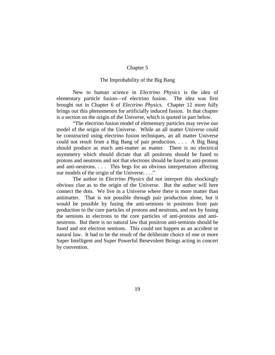# The Improbability of the Big Bang

New to human science in *Electrino Physics* is the idea of elementary particle fusion—of electrino fusion. The idea was first brought out in Chapter 6 of *Electrino Physics*. Chapter 12 more fully brings out this phenomenon for artificially induced fusion. In that chapter is a section on the origin of the Universe, which is quoted in part below.

"The electrino fusion model of elementary particles may revise our model of the origin of the Universe. While an all matter Universe could be constructed using electrino fusion techniques, an all matter Universe could not result from a Big Bang of pair production. . . . A Big Bang should produce as much anti-matter as matter. There is no electrical asymmetry which should dictate that all positrons should be fused to protons and neutrons and not that electrons should be fused to anti-protons and anti-neutrons. . . . This begs for an obvious interpretation affecting our models of the origin of the Universe. . . ."

The author in *Electrino Physics* did not interpret this shockingly obvious clue as to the origin of the Universe. But the author will here connect the dots. We live in a Universe where there is more matter than antimatter. That is not possible through pair production alone, but it would be possible by fusing the anti-semions in positrons from pair production to the core particles of protons and neutrons, and not by fusing the semions in electrons to the core particles of anti-protons and antineutrons. But there is no natural law that positron anti-semions should be fused and not electron semions. This could not happen as an accident or natural law. It had to be the result of the deliberate choice of one or more Super Intelligent and Super Powerful Benevolent Beings acting in concert by convention.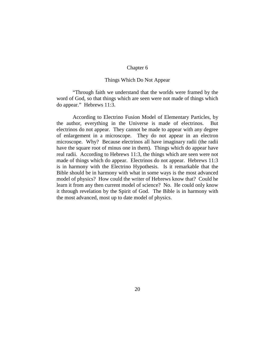# Things Which Do Not Appear

"Through faith we understand that the worlds were framed by the word of God, so that things which are seen were not made of things which do appear." Hebrews 11:3.

According to Electrino Fusion Model of Elementary Particles, by the author, everything in the Universe is made of electrinos. But electrinos do not appear. They cannot be made to appear with any degree of enlargement in a microscope. They do not appear in an electron microscope. Why? Because electrinos all have imaginary radii (the radii have the square root of minus one in them). Things which do appear have real radii. According to Hebrews 11:3, the things which are seen were not made of things which do appear. Electrinos do not appear. Hebrews 11:3 is in harmony with the Electrino Hypothesis. Is it remarkable that the Bible should be in harmony with what in some ways is the most advanced model of physics? How could the writer of Hebrews know that? Could he learn it from any then current model of science? No. He could only know it through revelation by the Spirit of God. The Bible is in harmony with the most advanced, most up to date model of physics.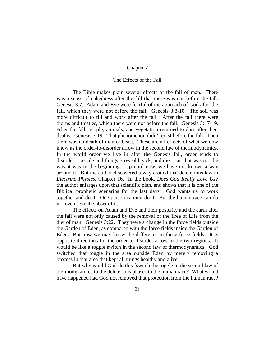# The Effects of the Fall

The Bible makes plain several effects of the fall of man. There was a sense of nakedness after the fall that there was not before the fall. Genesis 3:7. Adam and Eve were fearful of the approach of God after the fall, which they were not before the fall. Genesis 3:8-10. The soil was more difficult to till and work after the fall. After the fall there were thorns and thistles, which there were not before the fall. Genesis 3:17-19. After the fall, people, animals, and vegetation returned to dust after their deaths. Genesis 3:19. That phenomenon didn't exist before the fall. Then there was no death of man or beast. These are all effects of what we now know as the order-to-disorder arrow in the second law of thermodynamics. In the world order we live in after the Genesis fall, order tends to disorder—people and things grow old, sick, and die. But that was not the way it was in the beginning. Up until now, we have not known a way around it. But the author discovered a way around that deleterious law in *Electrino Physics*, Chapter 16. In the book, *Does God Really Love Us?* the author enlarges upon that scientific plan, and shows that it is one of the Biblical prophetic scenarios for the last days. God wants us to work together and do it. One person can not do it. But the human race can do it—even a small subset of it.

The effects on Adam and Eve and their posterity and the earth after the fall were not only caused by the removal of the Tree of Life from the diet of man. Genesis 3:22. They were a change in the force fields outside the Garden of Eden, as compared with the force fields inside the Garden of Eden. But now we may know the difference in those force fields. It is opposite directions for the order to disorder arrow in the two regions. It would be like a toggle switch in the second law of thermodynamics. God switched that toggle in the area outside Eden by merely removing a process in that area that kept all things healthy and alive.

But why would God do this [switch the toggle in the second law of thermodynamics to the deleterious phase] to the human race? What would have happened had God not removed that protection from the human race?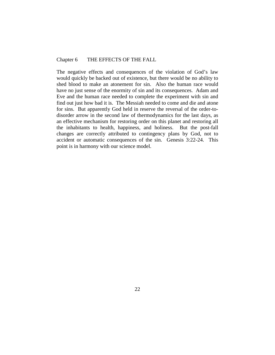# Chapter 6 THE EFFECTS OF THE FALL

The negative effects and consequences of the violation of God's law would quickly be backed out of existence, but there would be no ability to shed blood to make an atonement for sin. Also the human race would have no just sense of the enormity of sin and its consequences. Adam and Eve and the human race needed to complete the experiment with sin and find out just how bad it is. The Messiah needed to come and die and atone for sins. But apparently God held in reserve the reversal of the order-todisorder arrow in the second law of thermodynamics for the last days, as an effective mechanism for restoring order on this planet and restoring all the inhabitants to health, happiness, and holiness. But the post-fall changes are correctly attributed to contingency plans by God, not to accident or automatic consequences of the sin. Genesis 3:22-24. This point is in harmony with our science model.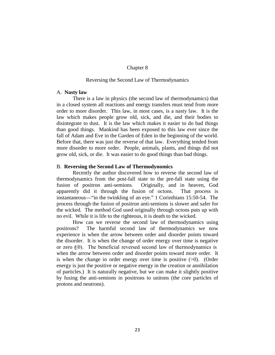# Reversing the Second Law of Thermodynamics

#### A. **Nasty law**

There is a law in physics (the second law of thermodynamics) that in a closed system all reactions and energy transfers must tend from more order to more disorder. This law, in most cases, is a nasty law. It is the law which makes people grow old, sick, and die, and their bodies to disintegrate to dust. It is the law which makes it easier to do bad things than good things. Mankind has been exposed to this law ever since the fall of Adam and Eve in the Garden of Eden in the beginning of the world. Before that, there was just the reverse of that law. Everything tended from more disorder to more order. People, animals, plants, and things did not grow old, sick, or die. It was easier to do good things than bad things.

#### B. **Reversing the Second Law of Thermodynomics**

Recently the author discovered how to reverse the second law of thermodynamics from the post-fall state to the pre-fall state using the fusion of positron anti-semions. Originally, and in heaven, God apparently did it through the fusion of octons. That process is instantaneous—"in the twinkling of an eye." 1 Corinthians 15:50-54. The process through the fusion of positron anti-semions is slower and safer for the wicked. The method God used originally through octons puts up with no evil. While it is life to the righteous, it is death to the wicked.

How can we reverse the second law of thermodynamics using positrons? The harmful second law of thermodynamics we now experience is when the arrow between order and disorder points toward the disorder. It is when the change of order energy over time is negative or zero  $(60)$ . The beneficial reversed second law of thermodynamics is when the arrow between order and disorder points toward more order. It is when the change in order energy over time is positive  $(0)$ . (Order energy is just the positive or negative energy in the creation or annihilation of particles.) It is naturally negative, but we can make it slightly positive by fusing the anti-semions in positrons to unitons (the core particles of protons and neutrons).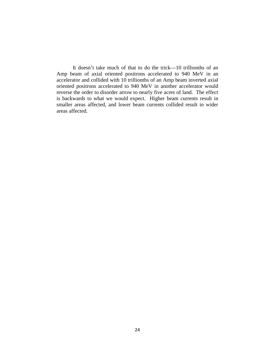It doesn't take much of that to do the trick—10 trillionths of an Amp beam of axial oriented positrons accelerated to 940 MeV in an accelerator and collided with 10 trillionths of an Amp beam inverted axial oriented positrons accelerated to 940 MeV in another accelerator would reverse the order to disorder arrow to nearly five acres of land. The effect is backwards to what we would expect. Higher beam currents result in smaller areas affected, and lower beam currents collided result in wider areas affected.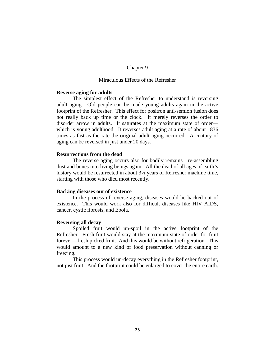# Miraculous Effects of the Refresher

#### **Reverse aging for adults**

The simplest effect of the Refresher to understand is reversing adult aging. Old people can be made young adults again in the active footprint of the Refresher. This effect for positron anti-semion fusion does not really back up time or the clock. It merely reverses the order to disorder arrow in adults. It saturates at the maximum state of order which is young adulthood. It reverses adult aging at a rate of about 1836 times as fast as the rate the original adult aging occurred. A century of aging can be reversed in just under 20 days.

# **Resurrections from the dead**

The reverse aging occurs also for bodily remains—re-assembling dust and bones into living beings again. All the dead of all ages of earth's history would be resurrected in about 3½ years of Refresher machine time, starting with those who died most recently.

#### **Backing diseases out of existence**

In the process of reverse aging, diseases would be backed out of existence. This would work also for difficult diseases like HIV AIDS, cancer, cystic fibrosis, and Ebola.

#### **Reversing all decay**

Spoiled fruit would un-spoil in the active footprint of the Refresher. Fresh fruit would stay at the maximum state of order for fruit forever—fresh picked fruit. And this would be without refrigeration. This would amount to a new kind of food preservation without canning or freezing.

This process would un-decay everything in the Refresher footprint, not just fruit. And the footprint could be enlarged to cover the entire earth.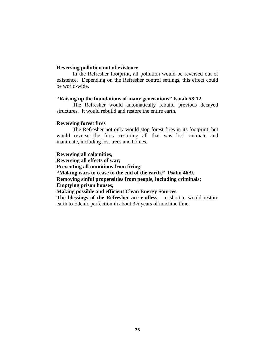# **Reversing pollution out of existence**

In the Refresher footprint, all pollution would be reversed out of existence. Depending on the Refresher control settings, this effect could be world-wide.

# **"Raising up the foundations of many generations" Isaiah 58:12.**

The Refresher would automatically rebuild previous decayed structures. It would rebuild and restore the entire earth.

# **Reversing forest fires**

The Refresher not only would stop forest fires in its footprint, but would reverse the fires—restoring all that was lost—animate and inanimate, including lost trees and homes.

**Reversing all calamities; Reversing all effects of war; Preventing all munitions from firing; "Making wars to cease to the end of the earth." Psalm 46:9. Removing sinful propensities from people, including criminals; Emptying prison houses; Making possible and efficient Clean Energy Sources. The blessings of the Refresher are endless.** In short it would restore earth to Edenic perfection in about 3½ years of machine time.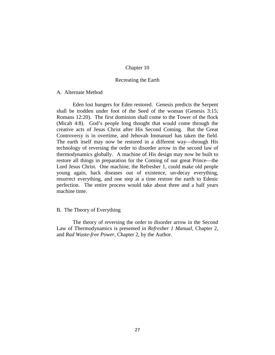# Recreating the Earth

# A. Alternate Method

Eden lost hungers for Eden restored. Genesis predicts the Serpent shall be trodden under foot of the Seed of the woman (Genesis 3:15; Romans 12:20). The first dominion shall come to the Tower of the flock (Micah 4:8). God's people long thought that would come through the creative acts of Jesus Christ after His Second Coming. But the Great Controversy is in overtime, and Jehovah Immanuel has taken the field. The earth itself may now be restored in a different way—through His technology of reversing the order to disorder arrow in the second law of thermodynamics globally. A machine of His design may now be built to restore all things in preparation for the Coming of our great Prince—the Lord Jesus Christ. One machine, the Refresher 1, could make old people young again, back diseases out of existence, un-decay everything, resurrect everything, and one step at a time restore the earth to Edenic perfection. The entire process would take about three and a half years machine time.

# B. The Theory of Everything

The theory of reversing the order to disorder arrow in the Second Law of Thermodynamics is presented in *Refresher 1 Manual*, Chapter 2, and *Rad Waste-free Power*, Chapter 2, by the Author.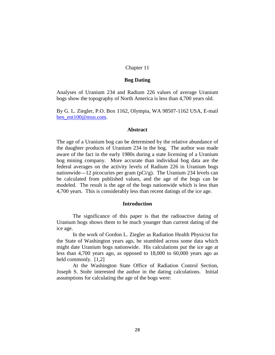#### **Bog Dating**

Analyses of Uranium 234 and Radium 226 values of average Uranium bogs show the topography of North America is less than 4,700 years old.

By G. L. Ziegler, P.O. Box 1162, Olympia, WA 98507-1162 USA, E-mail [ben\\_ent100@msn.com.](mailto:ben_ent100@msn.com)

# **Abstract**

The age of a Uranium bog can be determined by the relative abundance of the daughter products of Uranium 234 in the bog. The author was made aware of the fact in the early 1980s during a state licensing of a Uranium bog mining company. More accurate than individual bog data are the federal averages on the activity levels of Radium 226 in Uranium bogs nationwide—12 picocuries per gram (pCi/g). The Uranium 234 levels can be calculated from published values, and the age of the bogs can be modeled. The result is the age of the bogs nationwide which is less than 4,700 years. This is considerably less than recent datings of the ice age.

# **Introduction**

The significance of this paper is that the radioactive dating of Uranium bogs shows them to be much younger than current dating of the ice age.

In the work of Gordon L. Ziegler as Radiation Health Physicist for the State of Washington years ago, he stumbled across some data which might date Uranium bogs nationwide. His calculations put the ice age at less than 4,700 years ago, as opposed to 18,000 to 60,000 years ago as held commonly. [1,2]

At the Washington State Office of Radiation Control Section, Joseph S. Stohr interested the author in the dating calculations. Initial assumptions for calculating the age of the bogs were: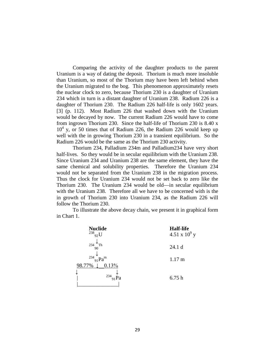Comparing the activity of the daughter products to the parent Uranium is a way of dating the deposit. Thorium is much more insoluble than Uranium, so most of the Thorium may have been left behind when the Uranium migrated to the bog. This phenomenon approximately resets the nuclear clock to zero, because Thorium 230 is a daughter of Uranium 234 which in turn is a distant daughter of Uranium 238. Radium 226 is a daughter of Thorium 230. The Radium 226 half-life is only 1602 years. [3] (p. 112). Most Radium 226 that washed down with the Uranium would be decayed by now. The current Radium 226 would have to come from ingrown Thorium 230. Since the half-life of Thorium 230 is 8.40 x 10<sup>4</sup> y, or 50 times that of Radium 226, the Radium 226 would keep up well with the in growing Thorium 230 in a transient equilibrium. So the Radium 226 would be the same as the Thorium 230 activity.

Thorium 234, Palladium 234m and Palladium234 have very short half-lives. So they would be in secular equilibrium with the Uranium 238. Since Uranium 234 and Uranium 238 are the same element, they have the same chemical and solubility properties. Therefore the Uranium 234 would not be separated from the Uranium 238 in the migration process. Thus the clock for Uranium 234 would not be set back to zero like the Thorium 230. The Uranium 234 would be old—in secular equilibrium with the Uranium 238. Therefore all we have to be concerned with is the in growth of Thorium 230 into Uranium 234, as the Radium 226 will follow the Thorium 230.

To illustrate the above decay chain, we present it in graphical form in Chart 1.

| <b>Nuclide</b><br>$^{238}$ <sub>92</sub> U | <b>Half-life</b><br>4.51 x $10^9$ y |
|--------------------------------------------|-------------------------------------|
| 234<br>Th<br>90                            | 24.1 <sub>d</sub>                   |
| 234<br>Pa <sup>m</sup><br>0.13%<br>98.77%  | $1.17 \text{ m}$                    |
| 234                                        | 6.75h                               |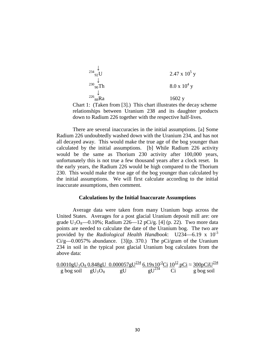$$
2.47 \times 105 y
$$
  
\n
$$
2.47 \times 105 y
$$
  
\n
$$
2.47 \times 105 y
$$
  
\n
$$
2.47 \times 105 y
$$
  
\n
$$
8.0 \times 104 y
$$
  
\n
$$
22688Ra
$$
  
\n1602 y

Chart 1: (Taken from [3].) This chart illustrates the decay scheme relationships between Uranium 238 and its daughter products down to Radium 226 together with the respective half-lives.

There are several inaccuracies in the initial assumptions. [a] Some Radium 226 undoubtedly washed down with the Uranium 234, and has not all decayed away. This would make the true age of the bog younger than calculated by the initial assumptions. [b] While Radium 226 activity would be the same as Thorium 230 activity after 100,000 years, unfortunately this is not true a few thousand years after a clock reset. In the early years, the Radium 226 would be high compared to the Thorium 230. This would make the true age of the bog younger than calculated by the initial assumptions. We will first calculate according to the initial inaccurate assumptions, then comment.

#### **Calculations by the Initial Inaccurate Assumptions**

Average data were taken from many Uranium bogs across the United States. Averages for a post glacial Uranium deposit mill are: ore grade  $U_3O_8$ —0.10%; Radium 226—12 pCi/g. [4] (p. 22). Two more data points are needed to calculate the date of the Uranium bog. The two are provided by the *Radiological Health Handbook*: U234—6.19 x 10-3  $Ci/g$ —0.0057% abundance. [3](p. 370.) The pCi/gram of the Uranium 234 in soil in the typical post glacial Uranium bog calculates from the above data:

$$
\frac{0.0010gU_3O_8 \cdot 0.848gU}{g \cdot 0.000057gU} \cdot \frac{0.000057gU^{234}}{gU} \cdot \frac{6.19 \times 10^{-3} \text{Ci}}{gU^{234}} \cdot \frac{10^{12} \text{ pCi}}{\text{Ci}} \approx \frac{300 \text{ pCi} U^{234}}{g \cdot 0.000057gU} \cdot \frac{10^{12} \text{ c}}{\text{Ci}}
$$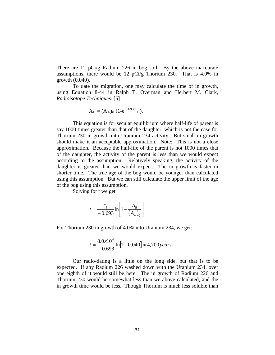There are 12 pCi/g Radium 226 in bog soil. By the above inaccurate assumptions, there would be 12 pCi/g Thorium 230. That is 4.0% in growth (0.040).

To date the migration, one may calculate the time of in growth, using Equation 8-44 in Ralph T. Overman and Herbert M. Clark, *Radioisotope Techniques.* [5]

$$
A_B = (A_A)_0 (1 - e^{-0.693/T}B).
$$

This equation is for secular equilibrium where half-life of parent is say 1000 times greater than that of the daughter, which is not the case for Thorium 230 in growth into Uranium 234 activity. But small in growth should make it an acceptable approximation. Note: This is not a close approximation. Because the half-life of the parent is not 1000 times that of the daughter, the activity of the parent is less than we would expect according to the assumption. Relatively speaking, the activity of the daughter is greater than we would expect. The in growth is faster in shorter time. The true age of the bog would be younger than calculated using this assumption. But we can still calculate the upper limit of the age of the bog using this assumption.

Solving for t we get

$$
t = \frac{T_B}{-0.693} \ln \left[ 1 - \frac{A_B}{(A_A)_0} \right].
$$

For Thorium 230 in growth of 4.0% into Uranium 234, we get:

$$
t = \frac{8.0x10^4}{-0.693} \ln[1 - 0.040] \approx 4,700 \, years.
$$

Our radio-dating is a little on the long side, but that is to be expected. If any Radium 226 washed down with the Uranium 234, over one eighth of it would still be here. The in growth of Radium 226 and Thorium 230 would be somewhat less than we above calculated, and the in growth time would be less. Though Thorium is much less soluble than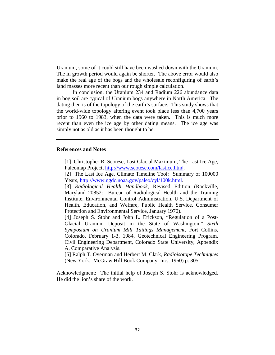Uranium, some of it could still have been washed down with the Uranium. The in growth period would again be shorter. The above error would also make the real age of the bogs and the wholesale reconfiguring of earth's land masses more recent than our rough simple calculation.

In conclusion, the Uranium 234 and Radium 226 abundance data in bog soil are typical of Uranium bogs anywhere in North America. The dating then is of the topology of the earth's surface. This study shows that the world-wide topology altering event took place less than 4,700 years prior to 1960 to 1983, when the data were taken. This is much more recent than even the ice age by other dating means. The ice age was simply not as old as it has been thought to be.

#### **References and Notes**

- [1] Christopher R. Scotese, Last Glacial Maximum, The Last Ice Age, Paleomap Project, [http://www.scotese.com/lastice.htm](http://www.scotese.com/lastice.html)l.
- [2] The Last Ice Age, Climate Timeline Tool: Summary of 100000 Years, [http://www.ngdc.noaa.gov/paleo/cyl/100k.html.](http://www.ngdc.noaa.gov/paleo/cyl/100k.html)

[3] *Radiological Health Handbook*, Revised Edition (Rockville, Maryland 20852: Bureau of Radiological Health and the Training Institute, Environmental Control Administration, U.S. Department of Health, Education, and Welfare, Public Health Service, Consumer Protection and Environmental Service, January 1970).

[4] Joseph S. Stohr and John L. Erickson, "Regulation of a Post-Glacial Uranium Deposit in the State of Washington," *Sixth Symposium on Uranium Mill Tailings Management*, Fort Collins, Colorado, February 1-3, 1984, Geotechnical Engineering Program, Civil Engineering Department, Colorado State University, Appendix A, Comparative Analysis.

[5] Ralph T. Overman and Herbert M. Clark, *Radioisotope Techniques* (New York: McGraw Hill Book Company, Inc., 1960) p. 305.

Acknowledgment: The initial help of Joseph S. Stohr is acknowledged. He did the lion's share of the work.